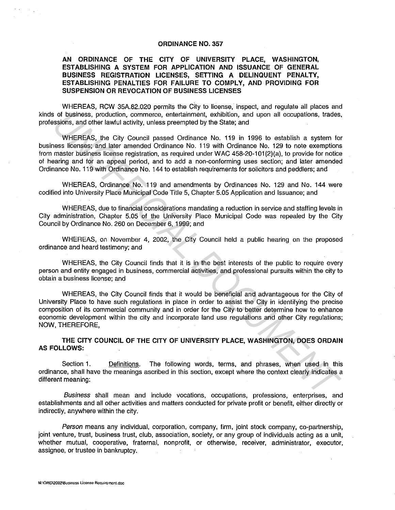## **ORDINANCE NO. 357**

## **AN ORDINANCE OF THE CITY OF UNIVERSITY PLACE, WASHINGTON, ESTABLISHING A SYSTEM FOR APPLICATION AND ISSUANCE OF GENERAL BUSINESS REGISTRATION LICENSES, SETTING A DELINQUENT PENALTY, ESTABLISHING PENALTIES FOR FAILURE TO COMPLY, AND PROVIDING FOR SUSPENSION OR REVOCATION OF BUSINESS LICENSES**

WHEREAS, RCW 35A.82.020 permits the City to license, inspect, and regulate all places and kinds of business, production, commerce, entertainment, exhibition, and upon all occupations, trades, professions, and other lawful activity, unless preempted by the State; and

WHEREAS, the City Council passed Ordinance No. 119 in 1996 to establish a system for business licenses; and later amended Ordinance No. 119 with Ordinance No. 129 to note exemptions from master business license registration, as required under WAC 458-20-101(2)(a), to provide for notice of hearing and for an appeal period, and to add a non-conforming uses section; and later amended Ordinance No. 119 with Ordinance No. 144 to establish requirements for solicitors and peddlers; and of business, production, commerce, entertainment, exhibition, and upon all occupations, trades<br>science, production, commerce, entertainment, exhibition, and upon all occupations, trades<br>where the child control of the comme

WHEREAS, Ordinance No. 119 and amendments by Ordinances No. 129 and No. 144 were codified into University Place Municipal Code Title 5, Chapter 5.05 Application and Issuance; and

WHEREAS, due to financial considerations mandating a reduction in service and staffing levels in City administration, Chapter 5.05 of the University Place Municipal Code was repealed by the City Council by Ordinance No. 260 on December 6, 1999; and

WHEREAS, on November 4, 2002, the City Council held a public hearing on the proposed ordinance and heard testimony; and

WHEREAS, the City Council finds that it is in the best interests of the public to require every person and entity engaged in business, commercial activities, and professional pursuits within the city to obtain a business license; and

WHEREAS, the City Council finds that it would be beneficial and advantageous for the City of University Place to have such regulations in place in order to assist the City in identifying the precise composition of its commercial community and in order for the City to better determine how to enhance economic development within the city and incorporate land use regulations and other City regulations; NOW, THEREFORE,

**THE CITY COUNCIL OF THE CITY OF UNIVERSITY PLACE, WASHINGTON, DOES ORDAIN AS FOLLOWS:** 

Section **1.** Definitions. The following words, terms, and phrases, when used in this ordinance, shall have the meanings ascribed in this section, except where the context clearly indicates a different meaning:

Business shall mean and include vocations, occupations, professions, enterprises, and establishments and all other activities and matters conducted for private profit or benefit, either directly or indirectly, anywhere within the city.

Person means any individual, corporation, company, firm, joint stock company, co-partnership, joint venture, trust, business trust, club, association, society, or any group of individuals acting as a unit, whether mutual, cooperative, fraternal, nonprofit, or otherwise, receiver, administrator, executor, assignee, or trustee in bankruptcy.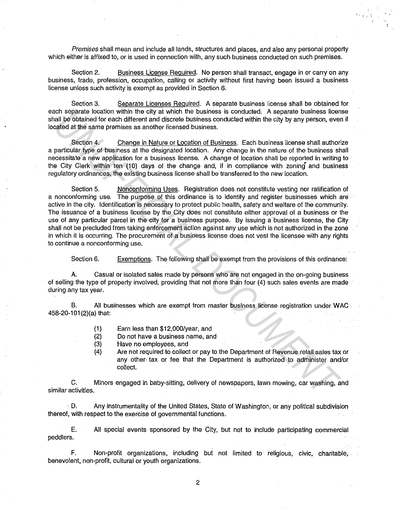Premises shall mean and include all lands, structures and places, and also any personal property which either is affixed to, or is used in connection with, any such business conducted on such premises.

 $\frac{1}{\epsilon}$ 

Section 2. Business License Required. No person shall transact, engage in or carry on any business, trade, profession, occupation, calling or activity without first having been issued a business license unless such activity is exempt as provided in Section 6.

Section 3. Separate Licenses Required. A separate business license shall be obtained for each separate location within the city at which the business is conducted. A separate business license shall be obtained for each different and discrete business conducted within the city by any person, even if located at the same premises as another licensed business.

Section 4. Change in Nature or Location of Business. Each business license shall authorize a particular type of business at the designated location. Any change in the nature of the business shall necessitate a new application for a business license. A change of location shall be reported in writing to the City Clerk within ten (10) days of the change and, if in compliance with zoning and business regulatory ordinances, the existing business license shall be transferred to the new location.

Section 5. Nonconforming Uses. Registration does not constitute vesting nor ratification of a nonconforming use. The purpose of this ordinance is to identify and register businesses which are active in the city. Identification is necessary to protect public health, safety and welfare of the community. The issuance of a business license by the City does not constitute either approval of a business or the use of any particular parcel in the city for a business purpose. By issuing a business license, the City shall not be precluded from taking enforcement action against any use which is not authorized in the zone in which it is occurring. The procurement of a business license does not vest the licensee with any rights to continue a nonconforming use. From separate location when the city at which in business is conculated. A separate business condition and all be obtained for each different and discrete business conducted within the city by any person, ever<br>all the stam

Section 6. Exemptions. The following shall be exempt from the provisions of this ordinance:

A. Casual or isolated sales made by persons who are not engaged in the on-going business of selling the type of property involved, providing that not more than four (4) such sales events are made during any tax year.

B. All businesses which are exempt from master business license registration under WAC 458-20-101 (2)(a) that:

- (1) Earn less than \$12,000/year, and
- (2) Do not have a business name, and
- (3) Have no employees, and
- (4) Are not required to collect or pay to the Department of Revenue retail sales tax or any other tax or fee that the Department is authorized to administer and/or collect.

C. Minors engaged in baby-sitting, delivery of newspapers, lawn mowing, car washing, and similar activities.

D. Any instrumentality of the United States, State of Washington, or any political subdivision thereof, with respect to the exercise of governmental functions.

E. All special events sponsored by the City, but not to include participating commercial peddlers.

F. Non-profit organizations, including but not limited to religious, civic, charitable, benevolent, non-profit, cultural or youth organizations.

2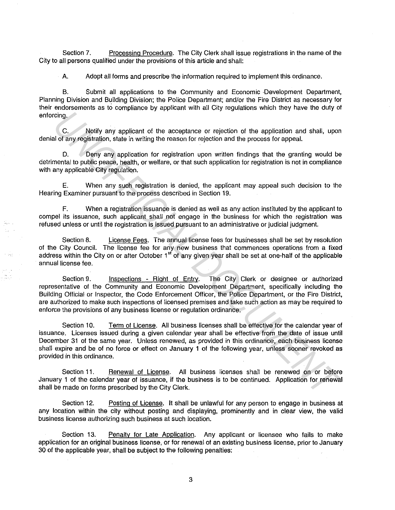Section 7. Processing Procedure. The City Clerk shall issue registrations in the name of the City to all persons qualified under the provisions of this article and shall:

A. Adopt all forms and prescribe the information required to implement this ordinance.

B. Submit all applications to the Community and Economic -Development Department, Planning Division and Building Division; the Police Department; and/or the Fire District as necessary for their endorsements as to compliance by applicant with all City regulations which they have the duty of enforcing.

C. Notify any applicant of the acceptance or rejection of the application and shall, upon denial of any registration, state in writing the reason for rejection and the process for appeal.

D. Deny any application for registration upon written findings that the granting would be detrimental to public peace, health, or welfare, or that such application for registration is not in compliance with any applicable City regulation.

E. When any such registration is denied, the applicant may appeal such decision to the Hearing Examiner pursuant to the process described in Section 19.

F. When a registration issuance is denied as well as any action instituted by the applicant to compel its issuance, such applicant shall not engage in the business for which the registration was refused unless or until the registration is issued pursuant to an administrative or judicial judgment.

Section 8. License Fees. The annual license fees for businesses shall be set by resolution of the City Council. The license fee for any new business that commences operations from a fixed address within the City on or after October 1<sup>st</sup> of any given year shall be set at one-half of the applicable annual license fee.

Section 9. Inspections - Right of Entry. The City Clerk or designee or authorized representative of the Community and Economic Development Department, specifically including the Building Official or Inspector, the Code Enforcement Officer, the Police Department, or the Fire District, are authorized to make such inspections of licensed premises and take such action as may be required to enforce the provisions of any business license or regulation ordinance. C. Notify any applicant of the acceptance or rejection of the application and shall, upon<br> **US** C. Notify any application to the acceptance or rejection of the application and shall, upon<br>
in distribution, state in writin

Section 10. Term of License. All business licenses shall be effective for the calendar year of issuance. Licenses issued during a given calendar year shall be effective from the date of issue until December 31 of the same year. Unless renewed, as provided in this ordinance, each business license shall expire and be of no force or effect on January 1 of the following year, unless sooner revoked as provided in this ordinance.

Section 11. Renewal of License. All business licenses shall be renewed on or before January 1 of the calendar year of issuance, if the business is to be continued. Application for renewal shall be made on forms prescribed by the City Clerk.

Section 12. Posting of License. It shall be unlawful for any person to engage in business at any location within the city without posting and displaying, prominently and in clear view, the valid business license authorizing such business at such location.

Section 13. Penalty for Late Application. Any applicant or licensee who fails to make application for an original business license, or for renewal of an existing business license, prior to January 30 of the applicable year, shall be subject to the following penalties:

3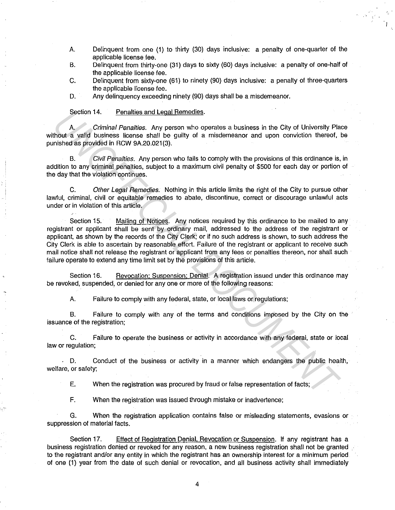A. Delinquent from one (1) to thirty (30) days inclusive: a penalty of one-quarter of the applicable license fee.

I

- B. Delinquent from thirty-one (31) days to sixty (60) days inclusive: a penalty of one-half of the applicable license fee.
- C. Delinquent from sixty-one (61) to ninety (90) days inclusive: a penalty of three-quarters the applicable license fee.
- D. Any delinquency exceeding ninety (90) days shall be a misdemeanor.

Section 14. Penalties and Legal Remedies.

A. Criminal Penalties. Any person who operates a business in the City of University Place without a valid business license shall be guilty of a misdemeanor and upon conviction thereof, be punished as provided in RCW 9A.20.021(3).

B. Civil Penalties. Any person who fails to comply with the provisions of this ordinance is, in addition to any criminal penalties, subject to a maximum civil penalty of \$500 for each day or portion of the day that the violation continues.

C. Other Legal Remedies. Nothing in this article limits the right of the City to pursue other lawful, criminal, civil or equitable remedies to abate, discontinue, correct or discourage unlawful acts under or in violation of this article.

Section 15. Mailing of Notices. Any notices required by this ordinance to be mailed to any registrant or applicant shall be sent by ordinary mail, addressed to the address of the registrant or applicant, as shown by the records of the City Clerk; or if no such address is shown, to such address the City Clerk is able to ascertain by reasonable effort. Failure of the registrant or applicant to receive such mail notice shall not release the registrant or applicant from any fees or penalties thereon, nor shall such failure operate to extend any time limit set by the provisions of this article. Sociion 14. Penalties and Legal Hermodies.<br>And a critimal Penalties and Legal Hermodies.<br> **A** critimal Penalties and the pullty of a misdemeanor and upon conviction thereof, in<br>
thout a valid business license shall be guil

Section 16. Revocation: Suspension: Denial. A registration issued under this ordinance may be revoked, suspended, or denied for any one or more of the following reasons:

A. Failure to comply with any federal, state, or local laws or regulations;

B. Failure to comply with any of the terms and conditions imposed by the City on the issuance of the registration;

C. Failure to operate the business or activity in accordance with any federal, state or local law or regulation;

. D. Conduct of the business or activity in a manner which endangers the public health, welfare, or safety;

E. When the registration was procured by fraud or false representation of facts;

F. When the registration was issued through mistake or inadvertence;

G. When the registration application contains false or misleading statements, evasions or suppression of material facts.

Section 17. Effect of Registration Denial, Revocation or Suspension. If any registrant has a business registration denied or revoked for any reason, a new business registration shall not be granted to the registrant and/or any entity in which the registrant has an ownership interest for a minimum period of one (1) year from the date of such denial or revocation, and all business activity shall immediately

4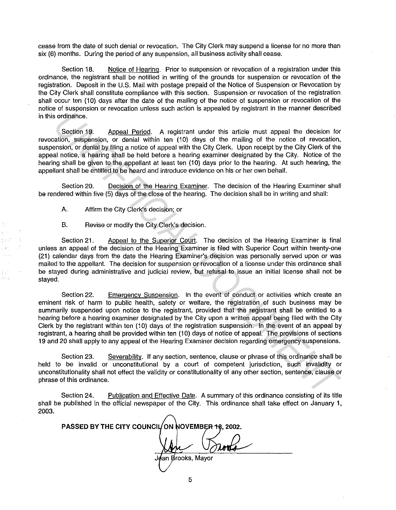cease from the date of such denial or revocation. The City Clerk may suspend a license for no more than six (6) months. During the period of any suspension, all business activity shall cease.

Section 18. Notice of Hearing. Prior to suspension or revocation of a registration under this ordinance, the registrant shall be notified in writing of the grounds for suspension or revocation of the registration. Deposit in the U.S. Mail with postage prepaid of the Notice of Suspension or Revocation by the City Clerk shall constitute compliance with this section. Suspension or revocation of the registration shall occur ten (10) days after the date of the mailing of the notice of suspension or revocation of the notice of suspension or revocation unless such action is appealed by registrant in the manner described in this ordinance.

Section 19. Appeal Period. A registrant under this article must appeal the decision for revocation, suspension, or denial within ten (10) days of the mailing of the notice of revocation, suspension, or denial by filing a notice of appeal with the City Clerk. Upon receipt by the City Clerk of the appeal notice, a hearing shall be held before a hearing examiner designated by the City. Notice of the hearing shall be given to the appellant at least ten (10) days prior to the hearing. At such hearing, the appellant shall be entitled to be heard and introduce evidence on his or her own behalf.

Section 20. Decision of the Hearing Examiner. The decision of the Hearing Examiner shall be rendered within five (5) days of the close of the hearing. The decision shall be in writing and shall:

A, Affirm the City Clerk's decision; or

B. Revise or modify the City Clerk's decision.

Section 21. Aopeal to the Superior Court. The decision of the Hearing Examiner is final unless an appeal of the decision of the Hearing Examiner is filed with Superior Court within twenty-one (21) calendar days from the date the Hearing Examiner's decision was personally served upon or was mailed to the appellant. The decision for suspension or revocation of a license under this ordinance shall be stayed during administrative and judicial review, but refusal to issue an initial license shall not be stayed.

Section 22. Emergencv Suspension. In the event of conduct or activities which create an eminent risk of harm to public health, safety or welfare, the registration of such business may be summarily suspended upon notice to the registrant, provided that the registrant shall be entitled to a hearing before a hearing examiner designated by the City upon a written appeal being filed with the City Clerk by the registrant within ten (10) days of the registration suspension. In the event of an appeal by registrant, a hearing shall be provided within ten (10) days of notice of appeal. The provisions of sections 19 and 20 shall apply to any appeal of the Hearing Examiner decision regarding emergency suspensions. **Exaction 19.**<br>
Section 19. Appeal Period. A regletrant under this article must appeal the decision for<br>
station, surepaison, or denial white left of the period with the Chy Clerk. Upon receipt by the Chy Clerk of the<br>
an

Section 23. Severability. If any section, sentence, clause or phrase of this ordinance shall be held to be invalid or unconstitutional by a court of competent jurisdiction, such invalidity or unconstitutionality shall not effect the validity or constitutionality of any other section, sentence, clause or phrase of this ordinance.

Section 24. Publication and Effective Date. A summary of this ordinance consisting of its title shall be published in the official newspaper of the City. This ordinance shall take effect on January 1, 2003.

PASSED BY THE CITY COUNCIL ON NOVEMBER 18, 2002.

<sup>{</sup>an Brooks, Mayor